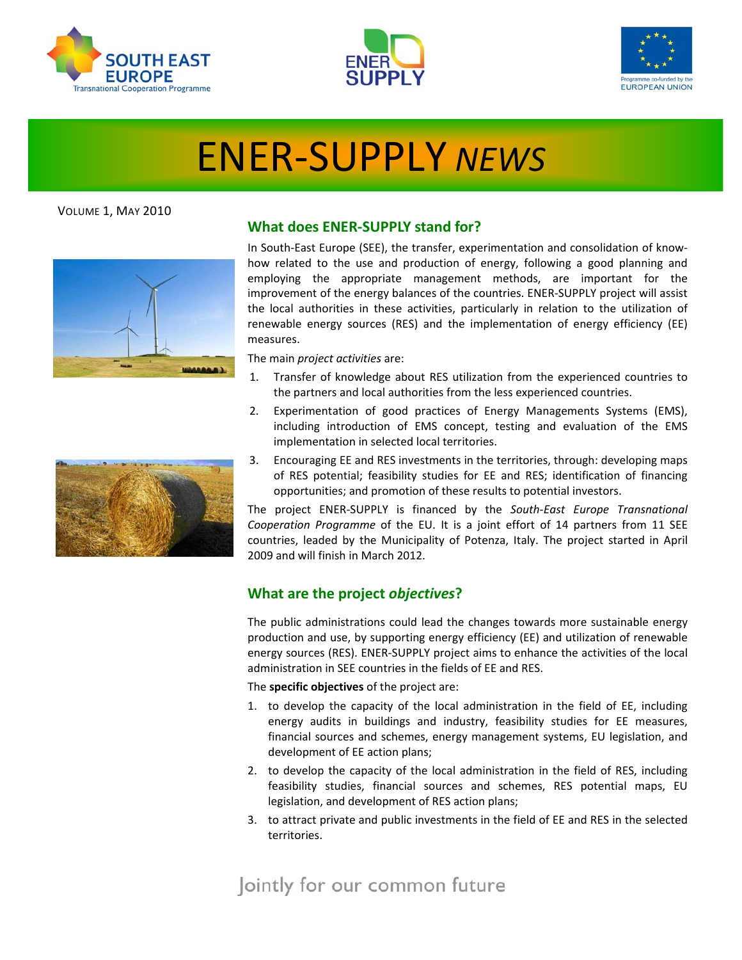





# ENER‐SUPPLY *NEWS*

VOLUME 1, MAY 2010



## **What does ENER‐SUPPLY stand for?**

In South‐East Europe (SEE), the transfer, experimentation and consolidation of know‐ how related to the use and production of energy, following a good planning and employing the appropriate management methods, are important for the improvement of the energy balances of the countries. ENER‐SUPPLY project will assist the local authorities in these activities, particularly in relation to the utilization of renewable energy sources (RES) and the implementation of energy efficiency (EE) measures.

The main *project activities* are:

- 1. Transfer of knowledge about RES utilization from the experienced countries to the partners and local authorities from the less experienced countries.
- 2. Experimentation of good practices of Energy Managements Systems (EMS), including introduction of EMS concept, testing and evaluation of the EMS implementation in selected local territories.
- 3. Encouraging EE and RES investments in the territories, through: developing maps of RES potential; feasibility studies for EE and RES; identification of financing opportunities; and promotion of these results to potential investors.

The project ENER‐SUPPLY is financed by the *South‐East Europe Transnational Cooperation Programme* of the EU. It is a joint effort of 14 partners from 11 SEE countries, leaded by the Municipality of Potenza, Italy. The project started in April 2009 and will finish in March 2012.

## **What are the project** *objectives***?**

The public administrations could lead the changes towards more sustainable energy production and use, by supporting energy efficiency (EE) and utilization of renewable energy sources (RES). ENER‐SUPPLY project aims to enhance the activities of the local administration in SEE countries in the fields of EE and RES.

The **specific objectives** of the project are:

- 1. to develop the capacity of the local administration in the field of EE, including energy audits in buildings and industry, feasibility studies for EE measures, financial sources and schemes, energy management systems, EU legislation, and development of EE action plans;
- 2. to develop the capacity of the local administration in the field of RES, including feasibility studies, financial sources and schemes, RES potential maps, EU legislation, and development of RES action plans;
- 3. to attract private and public investments in the field of EE and RES in the selected territories.

Jointly for our common future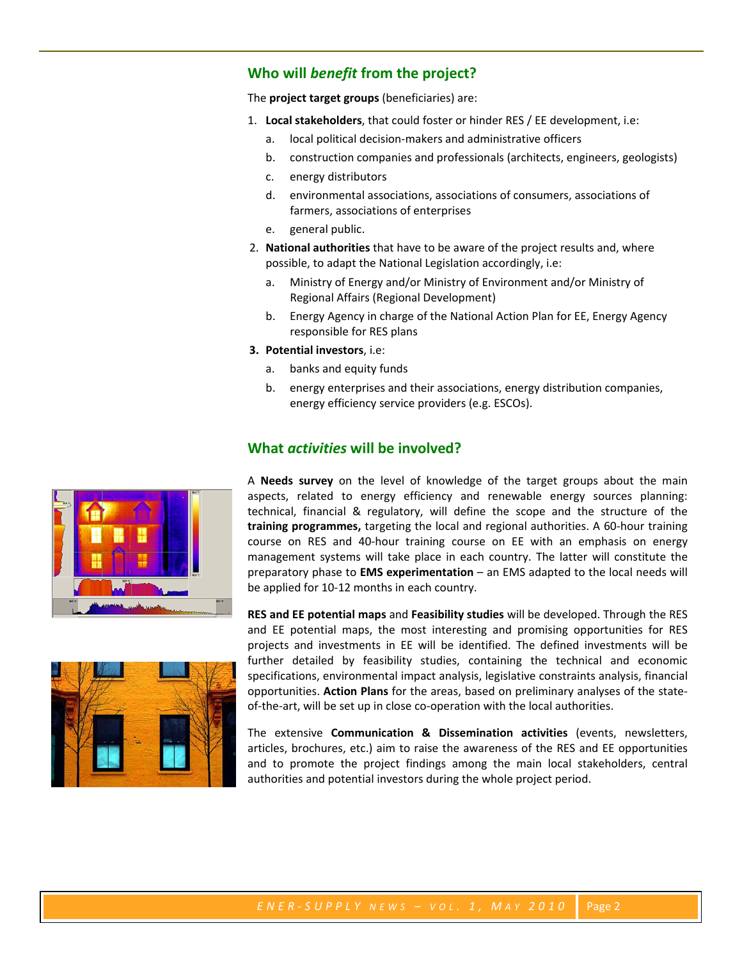#### **Who will** *benefit* **from the project?**

The **project target groups** (beneficiaries) are:

- 1. **Local stakeholders**, that could foster or hinder RES / EE development, i.e:
	- a. local political decision‐makers and administrative officers
	- b. construction companies and professionals (architects, engineers, geologists)
	- c. energy distributors
	- d. environmental associations, associations of consumers, associations of farmers, associations of enterprises
	- e. general public.
- 2. **National authorities** that have to be aware of the project results and, where possible, to adapt the National Legislation accordingly, i.e:
	- a. Ministry of Energy and/or Ministry of Environment and/or Ministry of Regional Affairs (Regional Development)
	- b. Energy Agency in charge of the National Action Plan for EE, Energy Agency responsible for RES plans
- **3. Potential investors**, i.e:
	- a. banks and equity funds
	- b. energy enterprises and their associations, energy distribution companies, energy efficiency service providers (e.g. ESCOs).

#### **What** *activities* **will be involved?**



A **Needs survey** on the level of knowledge of the target groups about the main aspects, related to energy efficiency and renewable energy sources planning: technical, financial & regulatory, will define the scope and the structure of the **training programmes,** targeting the local and regional authorities. A 60‐hour training course on RES and 40‐hour training course on EE with an emphasis on energy management systems will take place in each country. The latter will constitute the preparatory phase to **EMS experimentation** – an EMS adapted to the local needs will be applied for 10‐12 months in each country.

**RES and EE potential maps** and **Feasibility studies** will be developed. Through the RES and EE potential maps, the most interesting and promising opportunities for RES projects and investments in EE will be identified. The defined investments will be further detailed by feasibility studies, containing the technical and economic specifications, environmental impact analysis, legislative constraints analysis, financial opportunities. **Action Plans** for the areas, based on preliminary analyses of the state‐ of-the-art, will be set up in close co-operation with the local authorities.

The extensive **Communication & Dissemination activities** (events, newsletters, articles, brochures, etc.) aim to raise the awareness of the RES and EE opportunities and to promote the project findings among the main local stakeholders, central authorities and potential investors during the whole project period.